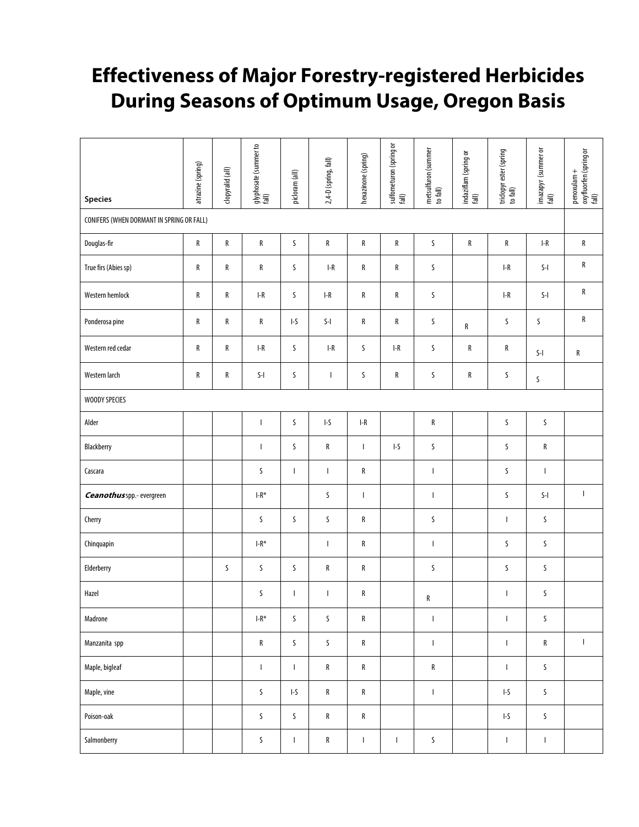## **Effectiveness of Major Forestry-registered Herbicides During Seasons of Optimum Usage, Oregon Basis**

| <b>Species</b>                            | atrazine (spring) | clopyralid (all) | glyphosate (summer to<br>fall)                                                                                                                                                                                                                                                                                                                                                   | picloram (all)                                  | 2,4-D (spring, fall)                                                   | hexazinone (spring)                             | sulfometuron (spring or<br>fall)                | metsulfuron (summer<br>to fall) | indaziflam (spring or<br>fall) | tridopyr ester (spring<br>to fall)              | imazapyr (summer or<br>fall)                                           | penoxulam +<br>oxyfluorfen (spring or<br>fall) |
|-------------------------------------------|-------------------|------------------|----------------------------------------------------------------------------------------------------------------------------------------------------------------------------------------------------------------------------------------------------------------------------------------------------------------------------------------------------------------------------------|-------------------------------------------------|------------------------------------------------------------------------|-------------------------------------------------|-------------------------------------------------|---------------------------------|--------------------------------|-------------------------------------------------|------------------------------------------------------------------------|------------------------------------------------|
| CONIFERS (WHEN DORMANT IN SPRING OR FALL) |                   |                  |                                                                                                                                                                                                                                                                                                                                                                                  |                                                 |                                                                        |                                                 |                                                 |                                 |                                |                                                 |                                                                        |                                                |
| Douglas-fir                               | R                 | R                | R                                                                                                                                                                                                                                                                                                                                                                                | $\sf S$                                         | R                                                                      | ${\sf R}$                                       | ${\sf R}$                                       | $\sf S$                         | ${\sf R}$                      | ${\sf R}$                                       | $\ensuremath{\mathsf{I}}\xspace\text{-}\ensuremath{\mathsf{R}}\xspace$ | ${\sf R}$                                      |
| True firs (Abies sp)                      | R                 | R                | R                                                                                                                                                                                                                                                                                                                                                                                | S                                               | $I-R$                                                                  | R                                               | ${\sf R}$                                       | S                               |                                | $I-R$                                           | $S-I$                                                                  | R                                              |
| Western hemlock                           | R                 | R                | $I-R$                                                                                                                                                                                                                                                                                                                                                                            | S                                               | $I-R$                                                                  | R                                               | R                                               | S                               |                                | $I-R$                                           | $S-I$                                                                  | R                                              |
| Ponderosa pine                            | ${\sf R}$         | R                | R                                                                                                                                                                                                                                                                                                                                                                                | $\ensuremath{\mathsf{I}}\ensuremath{\text{-S}}$ | $S-I$                                                                  | R                                               | ${\sf R}$                                       | S                               | ${\sf R}$                      | S                                               | S                                                                      | R                                              |
| Western red cedar                         | ${\sf R}$         | R                | $\ensuremath{\mathsf{I}}\xspace\text{-}\ensuremath{\mathsf{R}}\xspace$                                                                                                                                                                                                                                                                                                           | S                                               | $\ensuremath{\mathsf{I}}\xspace\text{-}\ensuremath{\mathsf{R}}\xspace$ | S                                               | $\ensuremath{\mathsf{I}}\ensuremath{\text{-R}}$ | S                               | ${\sf R}$                      | R                                               | $\mathsf{S}\text{-}\mathsf{I}$                                         | ${\sf R}$                                      |
| Western larch                             | ${\sf R}$         | R                | $\mathsf{S}\text{-}\mathsf{I}$                                                                                                                                                                                                                                                                                                                                                   | S                                               | $\mathsf{I}$                                                           | S                                               | ${\sf R}$                                       | S                               | ${\sf R}$                      | S                                               | S                                                                      |                                                |
| WOODY SPECIES                             |                   |                  |                                                                                                                                                                                                                                                                                                                                                                                  |                                                 |                                                                        |                                                 |                                                 |                                 |                                |                                                 |                                                                        |                                                |
| Alder                                     |                   |                  | $\begin{array}{c} \rule{0pt}{2.5ex} \rule{0pt}{2.5ex} \rule{0pt}{2.5ex} \rule{0pt}{2.5ex} \rule{0pt}{2.5ex} \rule{0pt}{2.5ex} \rule{0pt}{2.5ex} \rule{0pt}{2.5ex} \rule{0pt}{2.5ex} \rule{0pt}{2.5ex} \rule{0pt}{2.5ex} \rule{0pt}{2.5ex} \rule{0pt}{2.5ex} \rule{0pt}{2.5ex} \rule{0pt}{2.5ex} \rule{0pt}{2.5ex} \rule{0pt}{2.5ex} \rule{0pt}{2.5ex} \rule{0pt}{2.5ex} \rule{0$ | S                                               | $I-S$                                                                  | $\ensuremath{\mathsf{I}}\ensuremath{\text{-R}}$ |                                                 | ${\sf R}$                       |                                | $\sf S$                                         | $\sf S$                                                                |                                                |
| Blackberry                                |                   |                  | T                                                                                                                                                                                                                                                                                                                                                                                | S                                               | ${\sf R}$                                                              | $\mathbf{I}$                                    | $I-S$                                           | S                               |                                | S                                               | R                                                                      |                                                |
| Cascara                                   |                   |                  | S                                                                                                                                                                                                                                                                                                                                                                                | J.                                              | $\mathbf{I}$                                                           | R                                               |                                                 | $\begin{array}{c} \end{array}$  |                                | S                                               | $\mathbf{I}$                                                           |                                                |
| Ceanothus spp.- evergreen                 |                   |                  | $I-R^*$                                                                                                                                                                                                                                                                                                                                                                          |                                                 | S                                                                      | $\mathbf{I}$                                    |                                                 | $\mathbf{I}$                    |                                | S                                               | $\mathsf{S}\text{-}\mathsf{I}$                                         | $\mathbf{I}$                                   |
| Cherry                                    |                   |                  | S                                                                                                                                                                                                                                                                                                                                                                                | S                                               | $\sf S$                                                                | R                                               |                                                 | $\sf S$                         |                                | T                                               | S                                                                      |                                                |
| Chinquapin                                |                   |                  | $I-R^*$                                                                                                                                                                                                                                                                                                                                                                          |                                                 | $\mathbf{I}$                                                           | R                                               |                                                 | $\mathbf{I}$                    |                                | S                                               | S                                                                      |                                                |
| Elderberry                                |                   | S                | $\sf S$                                                                                                                                                                                                                                                                                                                                                                          | S                                               | R                                                                      | R                                               |                                                 | S                               |                                | S                                               | S                                                                      |                                                |
| Hazel                                     |                   |                  | S                                                                                                                                                                                                                                                                                                                                                                                | J.                                              | $\mathbf{I}$                                                           | R                                               |                                                 | R                               |                                | I                                               | S                                                                      |                                                |
| Madrone                                   |                   |                  | $\textsf{I-R}^\ast$                                                                                                                                                                                                                                                                                                                                                              | S                                               | S                                                                      | R                                               |                                                 | $\mathbf{I}$                    |                                | $\mathbf{I}$                                    | S                                                                      |                                                |
| Manzanita spp                             |                   |                  | ${\sf R}$                                                                                                                                                                                                                                                                                                                                                                        | $\sf S$                                         | $\sf S$                                                                | ${\sf R}$                                       |                                                 | $\mathsf I$                     |                                | $\mathbf{I}$                                    | ${\sf R}$                                                              | $\mathbf{I}$                                   |
| Maple, bigleaf                            |                   |                  | $\mathsf I$                                                                                                                                                                                                                                                                                                                                                                      | $\mathbf{I}$                                    | ${\sf R}$                                                              | R                                               |                                                 | ${\sf R}$                       |                                | $\mathbf{I}$                                    | S                                                                      |                                                |
| Maple, vine                               |                   |                  | $\sf S$                                                                                                                                                                                                                                                                                                                                                                          | $\ensuremath{\mathsf{I}}\ensuremath{\text{-S}}$ | ${\sf R}$                                                              | R                                               |                                                 | $\mathbf{I}$                    |                                | $\ensuremath{\mathsf{I}}\ensuremath{\text{-S}}$ | $\sf S$                                                                |                                                |
| Poison-oak                                |                   |                  | $\sf S$                                                                                                                                                                                                                                                                                                                                                                          | $\sf S$                                         | ${\sf R}$                                                              | R                                               |                                                 |                                 |                                | $\ensuremath{\mathsf{I}}\ensuremath{\text{-S}}$ | S                                                                      |                                                |
| Salmonberry                               |                   |                  | $\sf S$                                                                                                                                                                                                                                                                                                                                                                          | $\mathsf{I}$                                    | ${\sf R}$                                                              | $\mathsf I$                                     | $\mathbf{I}$                                    | $\sf S$                         |                                | I                                               | $\mathbf{I}$                                                           |                                                |